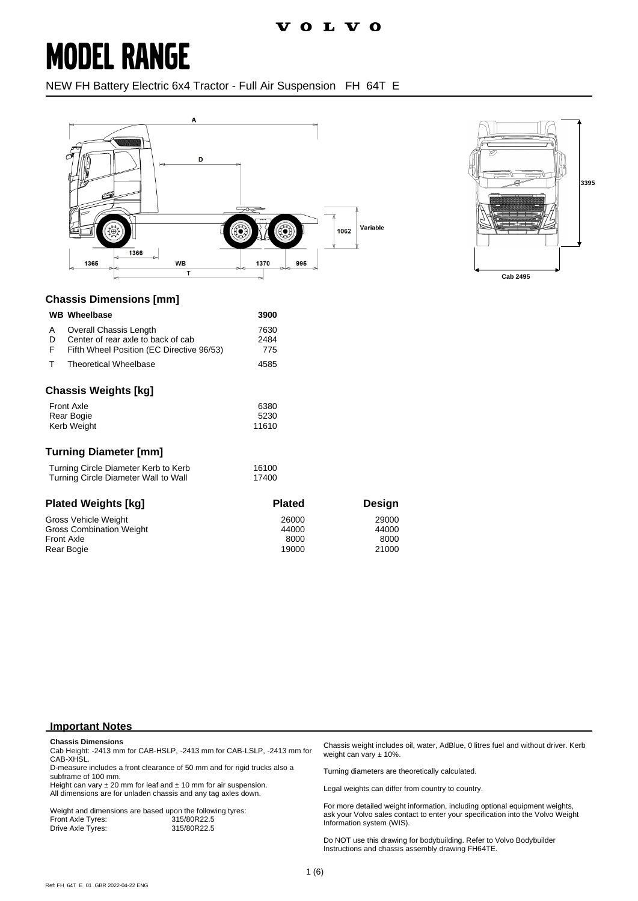## **MODEL RANGE**

NEW FH Battery Electric 6x4 Tractor - Full Air Suspension FH 64T E





### **Chassis Dimensions [mm]**

|                                                                              | <b>WB</b> Wheelbase                                                                                       | 3900                  |
|------------------------------------------------------------------------------|-----------------------------------------------------------------------------------------------------------|-----------------------|
| A<br>D<br>F                                                                  | Overall Chassis Length<br>Center of rear axle to back of cab<br>Fifth Wheel Position (EC Directive 96/53) | 7630<br>2484<br>775   |
| т                                                                            | <b>Theoretical Wheelbase</b>                                                                              | 4585                  |
|                                                                              | <b>Chassis Weights [kg]</b><br><b>Front Axle</b><br>Rear Bogie<br><b>Kerb Weight</b>                      | 6380<br>5230<br>11610 |
|                                                                              | <b>Turning Diameter [mm]</b>                                                                              |                       |
| Turning Circle Diameter Kerb to Kerb<br>Turning Circle Diameter Wall to Wall |                                                                                                           | 16100<br>17400        |

| <b>Plated Weights [kg]</b>      | <b>Plated</b> | <b>Design</b> |
|---------------------------------|---------------|---------------|
| Gross Vehicle Weight            | 26000         | 29000         |
| <b>Gross Combination Weight</b> | 44000         | 44000         |
| <b>Front Axle</b>               | 8000          | 8000          |
| Rear Bogie                      | 19000         | 21000         |

#### **Important Notes**

#### **Chassis Dimensions**

Cab Height: -2413 mm for CAB-HSLP, -2413 mm for CAB-LSLP, -2413 mm for CAB-XHSL.

D-measure includes a front clearance of 50 mm and for rigid trucks also a subframe of 100 mm.

Height can vary  $\pm 20$  mm for leaf and  $\pm 10$  mm for air suspension. All dimensions are for unladen chassis and any tag axles down.

Weight and dimensions are based upon the following tyres:<br>Front Axle Tyres: 315/80R22.5 Front Axle Tyres: 315/80R22.5 Drive Axle Tyres:

Chassis weight includes oil, water, AdBlue, 0 litres fuel and without driver. Kerb weight can vary ± 10%.

Turning diameters are theoretically calculated.

Legal weights can differ from country to country.

For more detailed weight information, including optional equipment weights, ask your Volvo sales contact to enter your specification into the Volvo Weight Information system (WIS).

Do NOT use this drawing for bodybuilding. Refer to Volvo Bodybuilder Instructions and chassis assembly drawing FH64TE.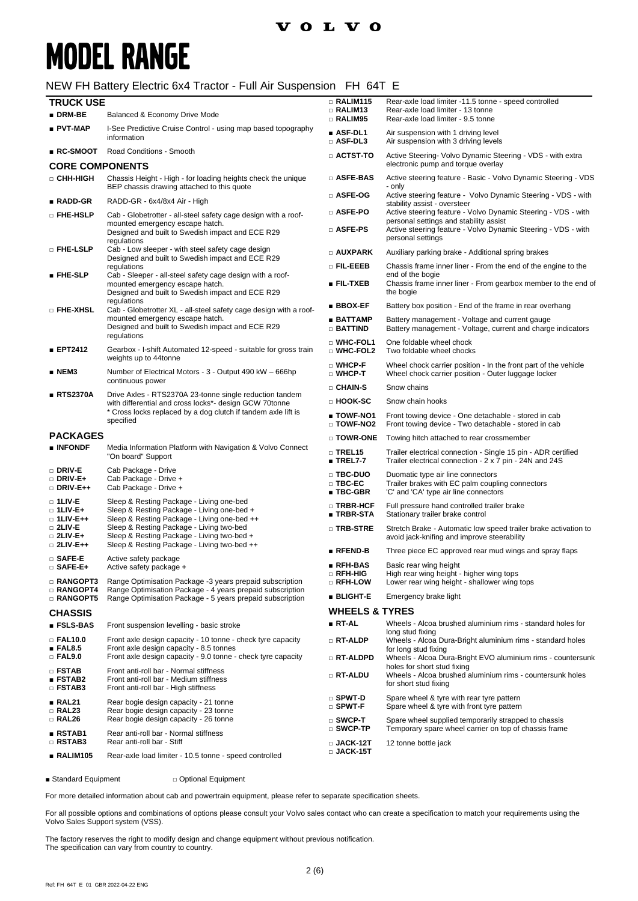### **VOLVO**

# **MODEL RANGE**

#### NEW FH Battery Electric 6x4 Tractor - Full Air Suspension FH 64T E

| <b>TRUCK USE</b>                                     |                                                                                                                                                       | $\Box$ RALIM115                                      | Rear-axle load limiter -11.5 tonne - speed controlled                                                                                                                                         |
|------------------------------------------------------|-------------------------------------------------------------------------------------------------------------------------------------------------------|------------------------------------------------------|-----------------------------------------------------------------------------------------------------------------------------------------------------------------------------------------------|
| $\blacksquare$ DRM-BE                                | Balanced & Economy Drive Mode                                                                                                                         | <b>RALIM13</b><br>□ RALIM95                          | Rear-axle load limiter - 13 tonne<br>Rear-axle load limiter - 9.5 tonne                                                                                                                       |
| ∎ PVT-MAP                                            | I-See Predictive Cruise Control - using map based topography<br>information                                                                           | $\blacksquare$ ASF-DL1<br>$\square$ ASF-DL3          | Air suspension with 1 driving level<br>Air suspension with 3 driving levels                                                                                                                   |
| $\blacksquare$ RC-SMOOT                              | Road Conditions - Smooth                                                                                                                              | $\Box$ actst-to                                      | Active Steering- Volvo Dynamic Steering - VDS - with extra<br>electronic pump and torque overlay                                                                                              |
| <b>CORE COMPONENTS</b>                               |                                                                                                                                                       |                                                      |                                                                                                                                                                                               |
| □ СНН-НІGН                                           | Chassis Height - High - for loading heights check the unique<br>BEP chassis drawing attached to this quote                                            | □ ASFE-BAS                                           | Active steering feature - Basic - Volvo Dynamic Steering - VDS<br>- only                                                                                                                      |
| ∎ RADD-GR                                            | RADD-GR - 6x4/8x4 Air - High                                                                                                                          | □ ASFE-OG                                            | Active steering feature - Volvo Dynamic Steering - VDS - with<br>stability assist - oversteer                                                                                                 |
| □ FHE-HSLP                                           | Cab - Globetrotter - all-steel safety cage design with a roof-<br>mounted emergency escape hatch.<br>Designed and built to Swedish impact and ECE R29 | □ ASFE-PO<br>$\square$ Asfe-PS                       | Active steering feature - Volvo Dynamic Steering - VDS - with<br>personal settings and stability assist<br>Active steering feature - Volvo Dynamic Steering - VDS - with<br>personal settings |
| □ FHE-LSLP                                           | regulations<br>Cab - Low sleeper - with steel safety cage design<br>Designed and built to Swedish impact and ECE R29                                  | □ AUXPARK                                            | Auxiliary parking brake - Additional spring brakes                                                                                                                                            |
|                                                      | regulations                                                                                                                                           | $\square$ FIL-EEEB                                   | Chassis frame inner liner - From the end of the engine to the                                                                                                                                 |
| <b>EHE-SLP</b>                                       | Cab - Sleeper - all-steel safety cage design with a roof-                                                                                             |                                                      | end of the bogie                                                                                                                                                                              |
|                                                      | mounted emergency escape hatch.<br>Designed and built to Swedish impact and ECE R29<br>regulations                                                    | ∎ FIL-TXEB                                           | Chassis frame inner liner - From gearbox member to the end of<br>the bogie                                                                                                                    |
| □ FHE-XHSL                                           | Cab - Globetrotter XL - all-steel safety cage design with a roof-                                                                                     | ∎ BBOX-EF                                            | Battery box position - End of the frame in rear overhang                                                                                                                                      |
|                                                      | mounted emergency escape hatch.<br>Designed and built to Swedish impact and ECE R29<br>regulations                                                    | ∎ BATTAMP<br><b>BATTIND</b>                          | Battery management - Voltage and current gauge<br>Battery management - Voltage, current and charge indicators                                                                                 |
| ■ EPT2412                                            | Gearbox - I-shift Automated 12-speed - suitable for gross train<br>weights up to 44tonne                                                              | □ WHC-FOL1<br>□ WHC-FOL2                             | One foldable wheel chock<br>Two foldable wheel chocks                                                                                                                                         |
| ∎ NEM3                                               | Number of Electrical Motors - 3 - Output 490 kW - 666hp<br>continuous power                                                                           | □ WHCP-F<br>□ WHCP-T                                 | Wheel chock carrier position - In the front part of the vehicle<br>Wheel chock carrier position - Outer luggage locker                                                                        |
| ∎ RTS2370A                                           |                                                                                                                                                       | □ CHAIN-S                                            | Snow chains                                                                                                                                                                                   |
|                                                      | Drive Axles - RTS2370A 23-tonne single reduction tandem<br>with differential and cross locks*- design GCW 70tonne                                     | □ HOOK-SC                                            | Snow chain hooks                                                                                                                                                                              |
|                                                      | * Cross locks replaced by a dog clutch if tandem axle lift is<br>specified                                                                            | ■ TOWF-NO1<br>$\square$ TOWF-NO2                     | Front towing device - One detachable - stored in cab<br>Front towing device - Two detachable - stored in cab                                                                                  |
| <b>PACKAGES</b>                                      |                                                                                                                                                       | $\square$ Towr-one                                   | Towing hitch attached to rear crossmember                                                                                                                                                     |
| $\blacksquare$ INFONDF                               | Media Information Platform with Navigation & Volvo Connect<br>"On board" Support                                                                      | $\square$ TREL15<br>$\blacksquare$ TREL7-7           | Trailer electrical connection - Single 15 pin - ADR certified<br>Trailer electrical connection - 2 x 7 pin - 24N and 24S                                                                      |
| $\square$ Driv-E<br>$\Box$ DRIV-E+<br>□ DRIV-E++     | Cab Package - Drive<br>Cab Package - Drive +<br>Cab Package - Drive +                                                                                 | □ TBC-DUO<br>$\Box$ TBC-EC<br>$\blacksquare$ TBC-GBR | Duomatic type air line connectors<br>Trailer brakes with EC palm coupling connectors<br>'C' and 'CA' type air line connectors                                                                 |
| $\Box$ 1LIV-E<br>□ 1LIV-E+<br>$\Box$ 1LIV-E++        | Sleep & Resting Package - Living one-bed<br>Sleep & Resting Package - Living one-bed +<br>Sleep & Resting Package - Living one-bed ++                 | □ TRBR-HCF<br>■ TRBR-STA                             | Full pressure hand controlled trailer brake                                                                                                                                                   |
| $\Box$ 2LIV-E                                        |                                                                                                                                                       |                                                      | Stationary trailer brake control                                                                                                                                                              |
| $\Box$ 2LIV-E+                                       | Sleep & Resting Package - Living two-bed<br>Sleep & Resting Package - Living two-bed +                                                                | □ TRB-STRE                                           | Stretch Brake - Automatic low speed trailer brake activation to<br>avoid jack-knifing and improve steerability                                                                                |
| $\Box$ 2LIV-E++                                      | Sleep & Resting Package - Living two-bed ++                                                                                                           | $\blacksquare$ RFEND-B                               | Three piece EC approved rear mud wings and spray flaps                                                                                                                                        |
| $\square$ SAFE-E<br>$\square$ SAFE-E+                | Active safety package                                                                                                                                 | $\blacksquare$ RFH-BAS                               | Basic rear wing height                                                                                                                                                                        |
| <b>RANGOPT3</b>                                      | Active safety package +<br>Range Optimisation Package -3 years prepaid subscription                                                                   | □ RFH-HIG<br>□ RFH-LOW                               | High rear wing height - higher wing tops<br>Lower rear wing height - shallower wing tops                                                                                                      |
| □ RANGOPT4<br><b>RANGOPT5</b>                        | Range Optimisation Package - 4 years prepaid subscription<br>Range Optimisation Package - 5 years prepaid subscription                                | $\blacksquare$ BLIGHT-E                              | Emergency brake light                                                                                                                                                                         |
| <b>CHASSIS</b>                                       |                                                                                                                                                       | <b>WHEELS &amp; TYRES</b>                            |                                                                                                                                                                                               |
| ■ FSLS-BAS                                           | Front suspension levelling - basic stroke                                                                                                             | ∎ RT-AL                                              | Wheels - Alcoa brushed aluminium rims - standard holes for                                                                                                                                    |
| $\Box$ FAL10.0<br>∎ FAL8.5                           | Front axle design capacity - 10 tonne - check tyre capacity<br>Front axle design capacity - 8.5 tonnes                                                | □ RT-ALDP                                            | long stud fixing<br>Wheels - Alcoa Dura-Bright aluminium rims - standard holes<br>for long stud fixing                                                                                        |
| $\Box$ FAL9.0                                        | Front axle design capacity - 9.0 tonne - check tyre capacity                                                                                          | □ RT-ALDPD                                           | Wheels - Alcoa Dura-Bright EVO aluminium rims - countersunk                                                                                                                                   |
| □ FSTAB<br>$\blacksquare$ FSTAB2<br>$\square$ FSTAB3 | Front anti-roll bar - Normal stiffness<br>Front anti-roll bar - Medium stiffness<br>Front anti-roll bar - High stiffness                              | □ RT-ALDU                                            | holes for short stud fixing<br>Wheels - Alcoa brushed aluminium rims - countersunk holes<br>for short stud fixing                                                                             |
| RAL21                                                | Rear bogie design capacity - 21 tonne                                                                                                                 | $\square$ Spwt-D<br>$\square$ SPWT-F                 | Spare wheel & tyre with rear tyre pattern<br>Spare wheel & tyre with front tyre pattern                                                                                                       |
| □ RAL23<br>$\Box$ RAL26                              | Rear bogie design capacity - 23 tonne<br>Rear bogie design capacity - 26 tonne                                                                        | $\square$ SWCP-T                                     | Spare wheel supplied temporarily strapped to chassis                                                                                                                                          |
| ■ RSTAB1                                             | Rear anti-roll bar - Normal stiffness                                                                                                                 | $\square$ SWCP-TP                                    | Temporary spare wheel carrier on top of chassis frame                                                                                                                                         |
| □ RSTAB3<br>∎ RALIM105                               | Rear anti-roll bar - Stiff<br>Rear-axle load limiter - 10.5 tonne - speed controlled                                                                  | $\square$ JACK-12T<br>$\square$ JACK-15T             | 12 tonne bottle jack                                                                                                                                                                          |

■ Standard Equipment □ Optional Equipment

For more detailed information about cab and powertrain equipment, please refer to separate specification sheets.

For all possible options and combinations of options please consult your Volvo sales contact who can create a specification to match your requirements using the Volvo Sales Support system (VSS).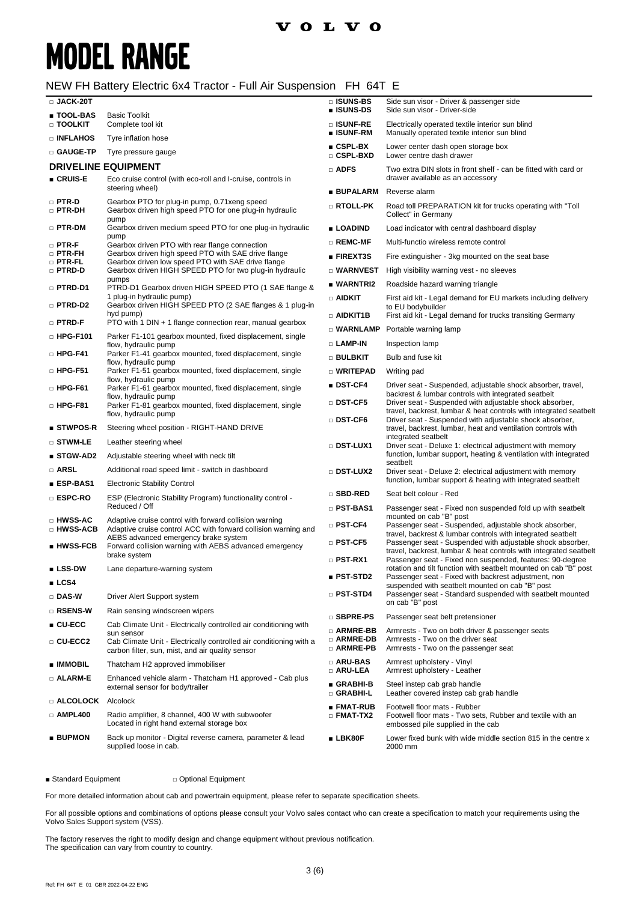# **MODEL RANGE**

#### NEW FH Battery Electric 6x4 Tractor - Full Air Suspension FH 64T E

| □ JACK-20T                     |                                                                                                                                      | □ ISUNS-BS<br>■ ISUNS-DS         | Side sun visor - Driver & passenger side<br>Side sun visor - Driver-side                                                        |
|--------------------------------|--------------------------------------------------------------------------------------------------------------------------------------|----------------------------------|---------------------------------------------------------------------------------------------------------------------------------|
| ∎ TOOL-BAS<br>□ TOOLKIT        | <b>Basic Toolkit</b><br>Complete tool kit                                                                                            | □ ISUNF-RE<br>■ ISUNF-RM         | Electrically operated textile interior sun blind<br>Manually operated textile interior sun blind                                |
| □ INFLAHOS                     | Tyre inflation hose                                                                                                                  | $CSPL-BX$                        | Lower center dash open storage box                                                                                              |
| □ GAUGE-TP                     | Tyre pressure gauge                                                                                                                  | $\square$ CSPL-BXD               | Lower centre dash drawer                                                                                                        |
| ∎ CRUIS-E                      | <b>DRIVELINE EQUIPMENT</b><br>Eco cruise control (with eco-roll and I-cruise, controls in                                            | $\Box$ ADFS                      | Two extra DIN slots in front shelf - can be fitted with card or<br>drawer available as an accessory                             |
|                                | steering wheel)                                                                                                                      | ■ BUPALARM                       | Reverse alarm                                                                                                                   |
| $\square$ PTR-D<br>□ PTR-DH    | Gearbox PTO for plug-in pump, 0.71 xeng speed<br>Gearbox driven high speed PTO for one plug-in hydraulic                             | □ RTOLL-PK                       | Road toll PREPARATION kit for trucks operating with "Toll<br>Collect" in Germany                                                |
| $\Box$ PTR-DM                  | pump<br>Gearbox driven medium speed PTO for one plug-in hydraulic                                                                    | ■ LOADIND                        | Load indicator with central dashboard display                                                                                   |
| $\square$ PTR-F                | pump<br>Gearbox driven PTO with rear flange connection                                                                               | $\square$ REMC-MF                | Multi-functio wireless remote control                                                                                           |
| $\Box$ PTR-FH<br>$\Box$ PTR-FL | Gearbox driven high speed PTO with SAE drive flange<br>Gearbox driven low speed PTO with SAE drive flange                            | <b>FIREXT3S</b>                  | Fire extinguisher - 3kg mounted on the seat base                                                                                |
| □ PTRD-D                       | Gearbox driven HIGH SPEED PTO for two plug-in hydraulic                                                                              | $\square$ WARNVEST               | High visibility warning vest - no sleeves                                                                                       |
| □ PTRD-D1                      | pumps<br>PTRD-D1 Gearbox driven HIGH SPEED PTO (1 SAE flange &                                                                       | ■ WARNTRI2                       | Roadside hazard warning triangle                                                                                                |
| □ PTRD-D2                      | 1 plug-in hydraulic pump)<br>Gearbox driven HIGH SPEED PTO (2 SAE flanges & 1 plug-in                                                | $\Box$ aidkit                    | First aid kit - Legal demand for EU markets including delivery<br>to EU bodybuilder                                             |
| □ PTRD-F                       | hyd pump)<br>PTO with 1 DIN $+$ 1 flange connection rear, manual gearbox                                                             | □ AIDKIT1B                       | First aid kit - Legal demand for trucks transiting Germany                                                                      |
| $\Box$ HPG-F101                | Parker F1-101 gearbox mounted, fixed displacement, single                                                                            | $\Box$ WARNLAMP                  | Portable warning lamp                                                                                                           |
|                                | flow, hydraulic pump                                                                                                                 | <b>D</b> LAMP-IN                 | Inspection lamp                                                                                                                 |
| $\square$ HPG-F41              | Parker F1-41 gearbox mounted, fixed displacement, single<br>flow, hydraulic pump                                                     | <b>D</b> BULBKIT                 | Bulb and fuse kit                                                                                                               |
| $\Box$ HPG-F51                 | Parker F1-51 gearbox mounted, fixed displacement, single<br>flow, hydraulic pump                                                     | □ WRITEPAD                       | Writing pad                                                                                                                     |
| $\square$ HPG-F61              | Parker F1-61 gearbox mounted, fixed displacement, single<br>flow, hydraulic pump                                                     | $\blacksquare$ DST-CF4           | Driver seat - Suspended, adjustable shock absorber, travel,<br>backrest & lumbar controls with integrated seatbelt              |
| $\square$ HPG-F81              | Parker F1-81 gearbox mounted, fixed displacement, single<br>flow, hydraulic pump                                                     | $\Box$ DST-CF5                   | Driver seat - Suspended with adjustable shock absorber,<br>travel, backrest, lumbar & heat controls with integrated seatbelt    |
| $\blacksquare$ STWPOS-R        | Steering wheel position - RIGHT-HAND DRIVE                                                                                           | $\square$ DST-CF6                | Driver seat - Suspended with adjustable shock absorber,<br>travel, backrest, lumbar, heat and ventilation controls with         |
| $\square$ stwm-le              | Leather steering wheel                                                                                                               | □ DST-LUX1                       | integrated seatbelt<br>Driver seat - Deluxe 1: electrical adjustment with memory                                                |
| ■ STGW-AD2                     | Adjustable steering wheel with neck tilt                                                                                             |                                  | function, lumbar support, heating & ventilation with integrated                                                                 |
| □ ARSL                         | Additional road speed limit - switch in dashboard                                                                                    | □ DST-LUX2                       | seatbelt<br>Driver seat - Deluxe 2: electrical adjustment with memory                                                           |
| ∎ ESP-BAS1                     | <b>Electronic Stability Control</b>                                                                                                  |                                  | function, lumbar support & heating with integrated seatbelt                                                                     |
| □ ESPC-RO                      | ESP (Electronic Stability Program) functionality control -                                                                           | □ SBD-RED                        | Seat belt colour - Red                                                                                                          |
| □ HWSS-AC                      | Reduced / Off<br>Adaptive cruise control with forward collision warning                                                              | □ PST-BAS1<br>□ PST-CF4          | Passenger seat - Fixed non suspended fold up with seatbelt<br>mounted on cab "B" post                                           |
| □ HWSS-ACB                     | Adaptive cruise control ACC with forward collision warning and<br>AEBS advanced emergency brake system                               |                                  | Passenger seat - Suspended, adjustable shock absorber,<br>travel, backrest & lumbar controls with integrated seatbelt           |
| $\blacksquare$ HWSS-FCB        | Forward collision warning with AEBS advanced emergency<br>brake system                                                               | $\square$ PST-CF5                | Passenger seat - Suspended with adjustable shock absorber,<br>travel, backrest, lumbar & heat controls with integrated seatbelt |
| ■ LSS-DW                       | Lane departure-warning system                                                                                                        | $\square$ PST-RX1                | Passenger seat - Fixed non suspended, features: 90-degree<br>rotation and tilt function with seatbelt mounted on cab "B" post   |
| LCS4                           |                                                                                                                                      | $\blacksquare$ PST-STD2          | Passenger seat - Fixed with backrest adjustment, non<br>suspended with seatbelt mounted on cab "B" post                         |
| □ DAS-W                        | Driver Alert Support system                                                                                                          | $\square$ PST-STD4               | Passenger seat - Standard suspended with seatbelt mounted<br>on cab "B" post                                                    |
| □ RSENS-W                      | Rain sensing windscreen wipers                                                                                                       | □ SBPRE-PS                       | Passenger seat belt pretensioner                                                                                                |
| $\blacksquare$ CU-ECC          | Cab Climate Unit - Electrically controlled air conditioning with                                                                     | □ ARMRE-BB                       | Armrests - Two on both driver & passenger seats                                                                                 |
| □ CU-ECC2                      | sun sensor<br>Cab Climate Unit - Electrically controlled air conditioning with a<br>carbon filter, sun, mist, and air quality sensor | □ ARMRE-DB<br>□ ARMRE-PB         | Armrests - Two on the driver seat<br>Armrests - Two on the passenger seat                                                       |
| ■ IMMOBIL                      | Thatcham H2 approved immobiliser                                                                                                     | □ ARU-BAS<br><b>D</b> ARU-LEA    | Armrest upholstery - Vinyl<br>Armrest upholstery - Leather                                                                      |
| $\Box$ ALARM-E                 | Enhanced vehicle alarm - Thatcham H1 approved - Cab plus<br>external sensor for body/trailer                                         | GRABHI-B                         | Steel instep cab grab handle                                                                                                    |
| <b>Example 20 Alcolock</b>     |                                                                                                                                      | □ GRABHI-L                       | Leather covered instep cab grab handle                                                                                          |
| $\Box$ AMPL400                 | Radio amplifier, 8 channel, 400 W with subwoofer<br>Located in right hand external storage box                                       | ■ FMAT-RUB<br>$\square$ FMAT-TX2 | Footwell floor mats - Rubber<br>Footwell floor mats - Two sets, Rubber and textile with an<br>embossed pile supplied in the cab |
| <b>BUPMON</b>                  | Back up monitor - Digital reverse camera, parameter & lead<br>supplied loose in cab.                                                 | $\blacksquare$ LBK80F            | Lower fixed bunk with wide middle section 815 in the centre x<br>2000 mm                                                        |

■ Standard Equipment □ Optional Equipment

For more detailed information about cab and powertrain equipment, please refer to separate specification sheets.

For all possible options and combinations of options please consult your Volvo sales contact who can create a specification to match your requirements using the Volvo Sales Support system (VSS).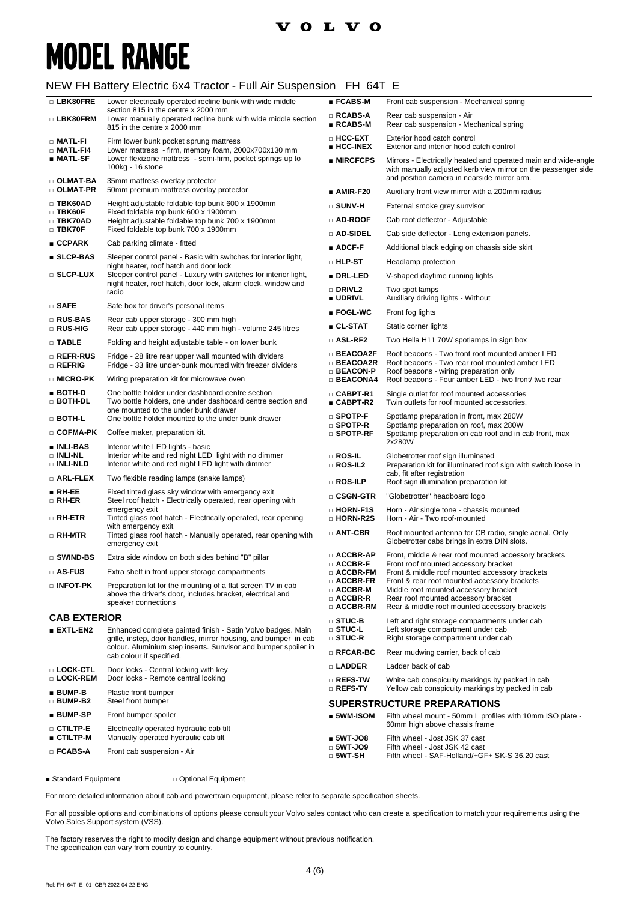### **VOLVO**

# **MODEL RANGE**

#### NEW FH Battery Electric 6x4 Tractor - Full Air Suspension FH 64T E

| □ LBK80FRE                                  | Lower electrically operated recline bunk with wide middle<br>section 815 in the centre x 2000 mm                                                       | $\blacksquare$ FCABS-M                                                    | Front cab suspension - Mechanical spring                                                                                                                                       |  |
|---------------------------------------------|--------------------------------------------------------------------------------------------------------------------------------------------------------|---------------------------------------------------------------------------|--------------------------------------------------------------------------------------------------------------------------------------------------------------------------------|--|
| □ LBK80FRM                                  | Lower manually operated recline bunk with wide middle section<br>815 in the centre x 2000 mm                                                           | $\square$ RCABS-A<br>$\blacksquare$ RCABS-M                               | Rear cab suspension - Air<br>Rear cab suspension - Mechanical spring                                                                                                           |  |
| □ MATL-FI<br>$\square$ Matl-F14             | Firm lower bunk pocket sprung mattress<br>Lower mattress - firm, memory foam, 2000x700x130 mm                                                          | □ HCC-EXT<br>$\blacksquare$ HCC-INEX                                      | Exterior hood catch control<br>Exterior and interior hood catch control                                                                                                        |  |
| ∎ MATL-SF                                   | Lower flexizone mattress - semi-firm, pocket springs up to<br>100kg - 16 stone                                                                         | <b>MIRCFCPS</b>                                                           | Mirrors - Electrically heated and operated main and wide-angle<br>with manually adjusted kerb view mirror on the passenger side<br>and position camera in nearside mirror arm. |  |
| □ OLMAT-BA<br>□ OLMAT-PR                    | 35mm mattress overlay protector<br>50mm premium mattress overlay protector                                                                             | ∎ AMIR-F20                                                                | Auxiliary front view mirror with a 200mm radius                                                                                                                                |  |
| $\Box$ TBK60AD                              | Height adjustable foldable top bunk 600 x 1900mm                                                                                                       | $\square$ sunv-h                                                          | External smoke grey sunvisor                                                                                                                                                   |  |
| $\square$ TBK60F<br>□ TBK70AD               | Fixed foldable top bunk 600 x 1900mm<br>Height adjustable foldable top bunk 700 x 1900mm                                                               | □ AD-ROOF                                                                 | Cab roof deflector - Adjustable                                                                                                                                                |  |
| $\Box$ TBK70F                               | Fixed foldable top bunk 700 x 1900mm                                                                                                                   | □ AD-SIDEL                                                                | Cab side deflector - Long extension panels.                                                                                                                                    |  |
| ■ CCPARK                                    | Cab parking climate - fitted                                                                                                                           | $\blacksquare$ ADCF-F                                                     | Additional black edging on chassis side skirt                                                                                                                                  |  |
| ■ SLCP-BAS                                  | Sleeper control panel - Basic with switches for interior light,<br>night heater, roof hatch and door lock                                              | $\square$ hlp st                                                          | Headlamp protection                                                                                                                                                            |  |
| □ SLCP-LUX                                  | Sleeper control panel - Luxury with switches for interior light,<br>night heater, roof hatch, door lock, alarm clock, window and                       | ■ DRL-LED                                                                 | V-shaped daytime running lights                                                                                                                                                |  |
|                                             | radio                                                                                                                                                  | $\Box$ Drivl2<br>■ UDRIVL                                                 | Two spot lamps<br>Auxiliary driving lights - Without                                                                                                                           |  |
| $\Box$ SAFE                                 | Safe box for driver's personal items                                                                                                                   | ∎ FOGL-WC                                                                 | Front fog lights                                                                                                                                                               |  |
| □ RUS-BAS<br>□ RUS-HIG                      | Rear cab upper storage - 300 mm high<br>Rear cab upper storage - 440 mm high - volume 245 litres                                                       | ∎ CL-STAT                                                                 | Static corner lights                                                                                                                                                           |  |
| $\Box$ TABLE                                | Folding and height adjustable table - on lower bunk                                                                                                    | $\square$ ASL-RF2                                                         | Two Hella H11 70W spotlamps in sign box                                                                                                                                        |  |
| □ REFR-RUS<br>□ REFRIG                      | Fridge - 28 litre rear upper wall mounted with dividers<br>Fridge - 33 litre under-bunk mounted with freezer dividers                                  | $\Box$ BEACOA2F<br>□ BEACOA2R<br>$\Box$ BEACON-P                          | Roof beacons - Two front roof mounted amber LED<br>Roof beacons - Two rear roof mounted amber LED<br>Roof beacons - wiring preparation only                                    |  |
| □ MICRO-PK                                  | Wiring preparation kit for microwave oven                                                                                                              | $\Box$ BEACONA4                                                           | Roof beacons - Four amber LED - two front/ two rear                                                                                                                            |  |
| $\blacksquare$ BOTH-D<br>$\Box$ both-dl     | One bottle holder under dashboard centre section<br>Two bottle holders, one under dashboard centre section and<br>one mounted to the under bunk drawer | $\Box$ CABPT-R1<br>■ CABPT-R2                                             | Single outlet for roof mounted accessories<br>Twin outlets for roof mounted accessories.                                                                                       |  |
| □ BOTH-L                                    | One bottle holder mounted to the under bunk drawer                                                                                                     | $\square$ SPOTP-F<br>$\square$ Spotp-R                                    | Spotlamp preparation in front, max 280W<br>Spotlamp preparation on roof, max 280W                                                                                              |  |
| □ COFMA-PK                                  | Coffee maker, preparation kit.                                                                                                                         | $\square$ Spotp-RF                                                        | Spotlamp preparation on cab roof and in cab front, max<br>2x280W                                                                                                               |  |
| ∎ INLI-BAS<br>□ INLI-NL<br><b>DINLI-NLD</b> | Interior white LED lights - basic<br>Interior white and red night LED light with no dimmer<br>Interior white and red night LED light with dimmer       | □ ROS-IL<br>$\Box$ ROS-IL2                                                | Globetrotter roof sign illuminated<br>Preparation kit for illuminated roof sign with switch loose in                                                                           |  |
| □ ARL-FLEX                                  | Two flexible reading lamps (snake lamps)                                                                                                               | $\square$ Ros-Ilp                                                         | cab, fit after registration<br>Roof sign illumination preparation kit                                                                                                          |  |
| $\blacksquare$ RH-EE<br>$\square$ RH-ER     | Fixed tinted glass sky window with emergency exit<br>Steel roof hatch - Electrically operated, rear opening with                                       | $\square$ CSGN-GTR                                                        | "Globetrotter" headboard logo                                                                                                                                                  |  |
| $\Box$ RH-ETR                               | emergency exit<br>Tinted glass roof hatch - Electrically operated, rear opening                                                                        | □ HORN-F1S<br>□ HORN-R2S                                                  | Horn - Air single tone - chassis mounted<br>Horn - Air - Two roof-mounted                                                                                                      |  |
| □ RH-MTR                                    | with emergency exit<br>Tinted glass roof hatch - Manually operated, rear opening with<br>emergency exit                                                | $\Box$ ANT-CBR                                                            | Roof mounted antenna for CB radio, single aerial. Only<br>Globetrotter cabs brings in extra DIN slots.                                                                         |  |
| □ SWIND-BS                                  | Extra side window on both sides behind "B" pillar                                                                                                      | $\square$ ACCBR-AP<br>$\square$ ACCBR-F                                   | Front, middle & rear roof mounted accessory brackets<br>Front roof mounted accessory bracket                                                                                   |  |
| □ AS-FUS                                    | Extra shelf in front upper storage compartments                                                                                                        | $\Box$ ACCBR-FM                                                           | Front & middle roof mounted accessory brackets                                                                                                                                 |  |
| $\Box$ INFOT-PK                             | Preparation kit for the mounting of a flat screen TV in cab<br>above the driver's door, includes bracket, electrical and<br>speaker connections        | $\Box$ ACCBR-FR<br>$\Box$ ACCBR-M<br>$\square$ ACCBR-R<br>$\Box$ ACCBR-RM | Front & rear roof mounted accessory brackets<br>Middle roof mounted accessory bracket<br>Rear roof mounted accessory bracket<br>Rear & middle roof mounted accessory brackets  |  |
| <b>CAB EXTERIOR</b>                         |                                                                                                                                                        |                                                                           |                                                                                                                                                                                |  |
| <b>EXTL-EN2</b>                             | Enhanced complete painted finish - Satin Volvo badges. Main<br>grille, instep, door handles, mirror housing, and bumper in cab                         | $\square$ STUC-B<br>$\square$ stuc-l<br>□ STUC-R                          | Left and right storage compartments under cab<br>Left storage compartment under cab<br>Right storage compartment under cab                                                     |  |
|                                             | colour. Aluminium step inserts. Sunvisor and bumper spoiler in<br>cab colour if specified.                                                             | $\square$ RFCAR-BC                                                        | Rear mudwing carrier, back of cab                                                                                                                                              |  |
| □ LOCK-CTL                                  | Door locks - Central locking with key                                                                                                                  | □ LADDER                                                                  | Ladder back of cab                                                                                                                                                             |  |
| □ LOCK-REM<br>$BUMP-B$                      | Door locks - Remote central locking<br>Plastic front bumper                                                                                            | $\square$ Refs-tw<br>□ REFS-TY                                            | White cab conspicuity markings by packed in cab<br>Yellow cab conspicuity markings by packed in cab                                                                            |  |
| □ BUMP-B2                                   | Steel front bumper                                                                                                                                     |                                                                           | <b>SUPERSTRUCTURE PREPARATIONS</b><br>Fifth wheel mount - 50mm L profiles with 10mm ISO plate -<br>60mm high above chassis frame                                               |  |
| ■ BUMP-SP                                   | Front bumper spoiler                                                                                                                                   | $\blacksquare$ 5WM-ISOM                                                   |                                                                                                                                                                                |  |
| □ CTILTP-E<br>■ CTILTP-M                    | Electrically operated hydraulic cab tilt<br>Manually operated hydraulic cab tilt                                                                       | $5WT-JOS$                                                                 | Fifth wheel - Jost JSK 37 cast                                                                                                                                                 |  |
| □ FCABS-A                                   | Front cab suspension - Air                                                                                                                             | $\Box$ 5WT-JO9<br>□ 5WT-SH                                                | Fifth wheel - Jost JSK 42 cast<br>Fifth wheel - SAF-Holland/+GF+ SK-S 36.20 cast                                                                                               |  |

■ Standard Equipment □ Optional Equipment

For more detailed information about cab and powertrain equipment, please refer to separate specification sheets.

For all possible options and combinations of options please consult your Volvo sales contact who can create a specification to match your requirements using the Volvo Sales Support system (VSS).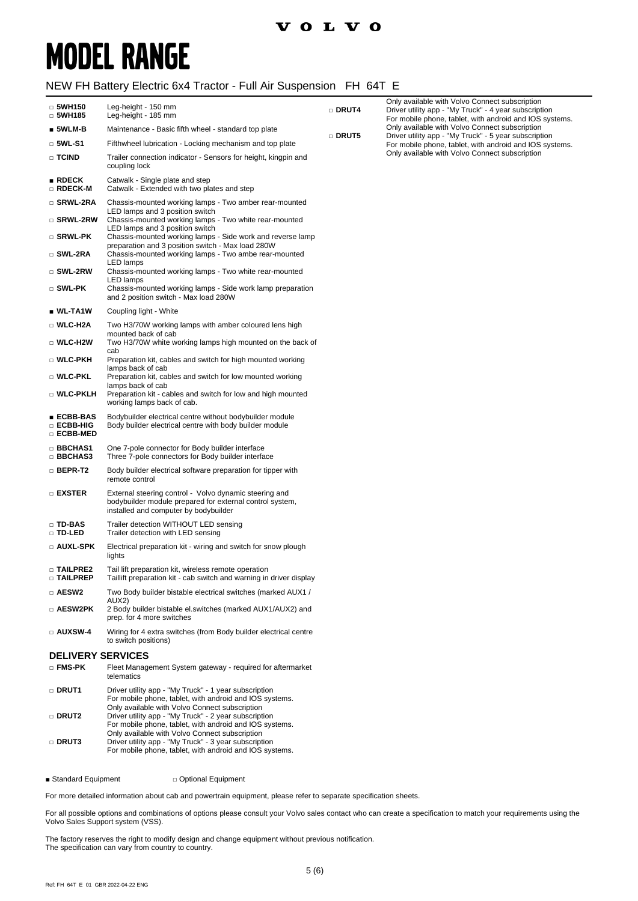# **MODEL RANGE**

### NEW FH Battery Electric 6x4 Tractor - Full Air Suspension FH 64T E

| $\Box$ 5WH150<br>$\Box$ 5WH185         | Leg-height - 150 mm<br>Leg-height - 185 mm                                                                                                                         | □ DRUT4 | Only available with Volvo Connect subscription<br>Driver utility app - "My Truck" - 4 year subscription<br>For mobile phone, tablet, with android and IOS systems. |
|----------------------------------------|--------------------------------------------------------------------------------------------------------------------------------------------------------------------|---------|--------------------------------------------------------------------------------------------------------------------------------------------------------------------|
| $\blacksquare$ 5WLM-B                  | Maintenance - Basic fifth wheel - standard top plate                                                                                                               |         | Only available with Volvo Connect subscription                                                                                                                     |
| $\square$ 5WL-S1                       | Fifthwheel lubrication - Locking mechanism and top plate                                                                                                           | □ DRUT5 | Driver utility app - "My Truck" - 5 year subscription<br>For mobile phone, tablet, with android and IOS systems.                                                   |
| $\Box$ TCIND                           | Trailer connection indicator - Sensors for height, kingpin and<br>coupling lock                                                                                    |         | Only available with Volvo Connect subscription                                                                                                                     |
| RDECK<br>□ RDECK-M                     | Catwalk - Single plate and step<br>Catwalk - Extended with two plates and step                                                                                     |         |                                                                                                                                                                    |
| □ SRWL-2RA                             | Chassis-mounted working lamps - Two amber rear-mounted                                                                                                             |         |                                                                                                                                                                    |
| □ SRWL-2RW                             | LED lamps and 3 position switch<br>Chassis-mounted working lamps - Two white rear-mounted                                                                          |         |                                                                                                                                                                    |
| □ SRWL-PK                              | LED lamps and 3 position switch<br>Chassis-mounted working lamps - Side work and reverse lamp<br>preparation and 3 position switch - Max load 280W                 |         |                                                                                                                                                                    |
| □ SWL-2RA                              | Chassis-mounted working lamps - Two ambe rear-mounted                                                                                                              |         |                                                                                                                                                                    |
| □ SWL-2RW                              | LED lamps<br>Chassis-mounted working lamps - Two white rear-mounted                                                                                                |         |                                                                                                                                                                    |
| $\square$ SWL-PK                       | LED lamps<br>Chassis-mounted working lamps - Side work lamp preparation<br>and 2 position switch - Max load 280W                                                   |         |                                                                                                                                                                    |
| $\blacksquare$ WL-TA1W                 | Coupling light - White                                                                                                                                             |         |                                                                                                                                                                    |
| □ WLC-H2A                              | Two H3/70W working lamps with amber coloured lens high                                                                                                             |         |                                                                                                                                                                    |
| □ WLC-H2W                              | mounted back of cab<br>Two H3/70W white working lamps high mounted on the back of<br>cab                                                                           |         |                                                                                                                                                                    |
| □ WLC-PKH                              | Preparation kit, cables and switch for high mounted working<br>lamps back of cab                                                                                   |         |                                                                                                                                                                    |
| □ WLC-PKL                              | Preparation kit, cables and switch for low mounted working<br>lamps back of cab                                                                                    |         |                                                                                                                                                                    |
| □ WLC-PKLH                             | Preparation kit - cables and switch for low and high mounted<br>working lamps back of cab.                                                                         |         |                                                                                                                                                                    |
| ∎ ECBB-BAS<br>□ ECBB-HIG<br>□ ECBB-MED | Bodybuilder electrical centre without bodybuilder module<br>Body builder electrical centre with body builder module                                                |         |                                                                                                                                                                    |
| <b>BBCHAS1</b><br>□ BBCHAS3            | One 7-pole connector for Body builder interface<br>Three 7-pole connectors for Body builder interface                                                              |         |                                                                                                                                                                    |
| $\Box$ Bepr-T2                         | Body builder electrical software preparation for tipper with<br>remote control                                                                                     |         |                                                                                                                                                                    |
| □ EXSTER                               | External steering control - Volvo dynamic steering and<br>bodybuilder module prepared for external control system,<br>installed and computer by bodybuilder        |         |                                                                                                                                                                    |
| □ TD-BAS<br>□ TD-LED                   | Trailer detection WITHOUT LED sensing<br>Trailer detection with LED sensing                                                                                        |         |                                                                                                                                                                    |
| □ AUXL-SPK                             | Electrical preparation kit - wiring and switch for snow plough<br>lights                                                                                           |         |                                                                                                                                                                    |
| □ TAILPRE2<br><b>D TAILPREP</b>        | Tail lift preparation kit, wireless remote operation<br>Taillift preparation kit - cab switch and warning in driver display                                        |         |                                                                                                                                                                    |
| □ AESW2                                | Two Body builder bistable electrical switches (marked AUX1/                                                                                                        |         |                                                                                                                                                                    |
| □ AESW2PK                              | AUX2)<br>2 Body builder bistable el.switches (marked AUX1/AUX2) and<br>prep. for 4 more switches                                                                   |         |                                                                                                                                                                    |
| □ AUXSW-4                              | Wiring for 4 extra switches (from Body builder electrical centre<br>to switch positions)                                                                           |         |                                                                                                                                                                    |
| <b>DELIVERY SERVICES</b>               |                                                                                                                                                                    |         |                                                                                                                                                                    |
| □ FMS-PK                               | Fleet Management System gateway - required for aftermarket<br>telematics                                                                                           |         |                                                                                                                                                                    |
| □ DRUT1                                | Driver utility app - "My Truck" - 1 year subscription<br>For mobile phone, tablet, with android and IOS systems.                                                   |         |                                                                                                                                                                    |
| □ DRUT2                                | Only available with Volvo Connect subscription<br>Driver utility app - "My Truck" - 2 year subscription<br>For mobile phone, tablet, with android and IOS systems. |         |                                                                                                                                                                    |
| □ DRUT3                                | Only available with Volvo Connect subscription<br>Driver utility app - "My Truck" - 3 year subscription<br>For mobile phone, tablet, with android and IOS systems. |         |                                                                                                                                                                    |

■ Standard Equipment □ Optional Equipment

For more detailed information about cab and powertrain equipment, please refer to separate specification sheets.

For all possible options and combinations of options please consult your Volvo sales contact who can create a specification to match your requirements using the Volvo Sales Support system (VSS).